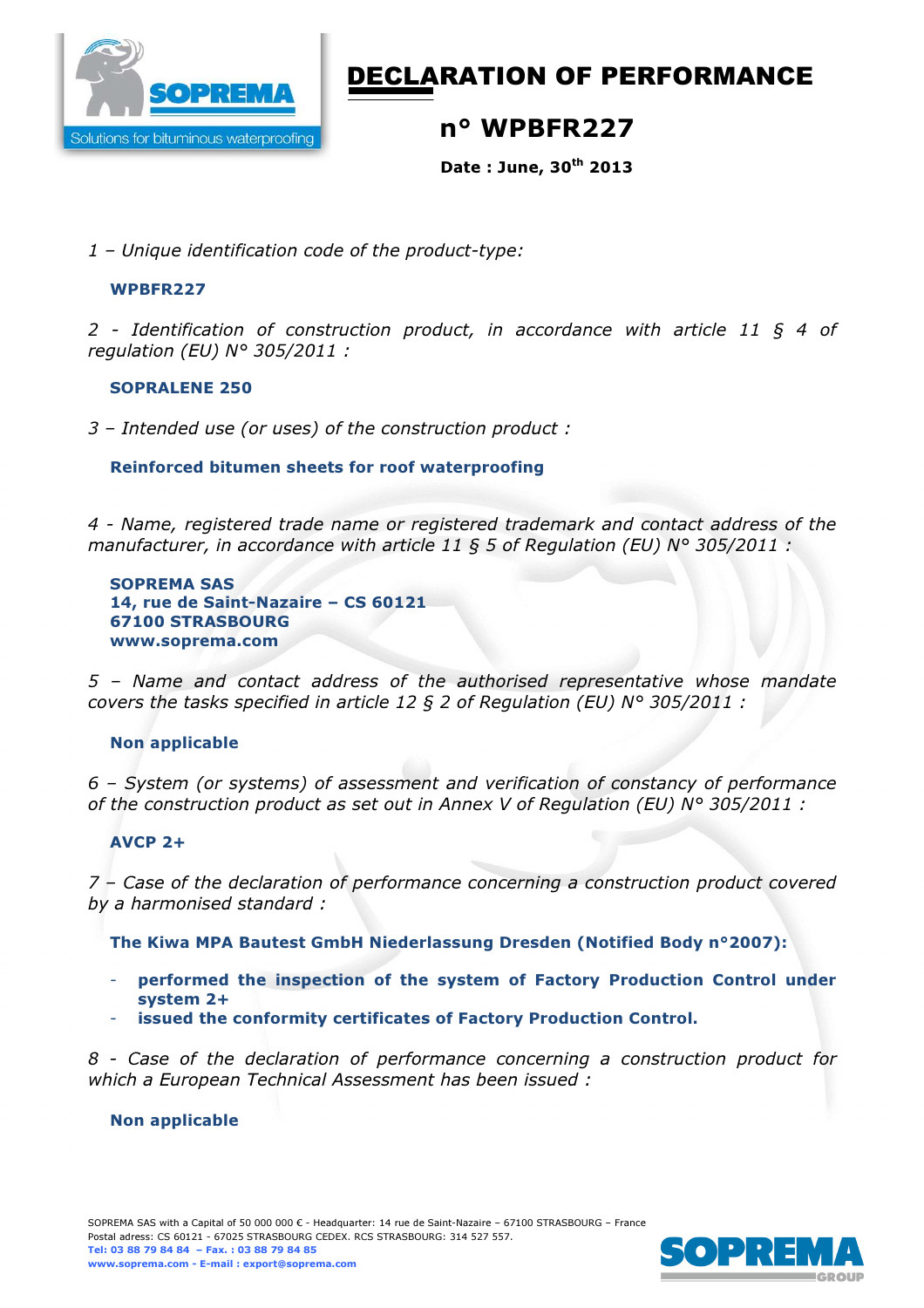

# DECLARATION OF PERFORMANCE

## n° WPBFR227

Date : June, 30th 2013

*1 – Unique identification code of the product-type:* 

#### WPBFR227

*2 - Identification of construction product, in accordance with article 11 § 4 of regulation (EU) N° 305/2011 :* 

#### SOPRALENE 250

*3 – Intended use (or uses) of the construction product :*

#### Reinforced bitumen sheets for roof waterproofing

*4 - Name, registered trade name or registered trademark and contact address of the manufacturer, in accordance with article 11 § 5 of Regulation (EU) N° 305/2011 :* 

SOPREMA SAS 14, rue de Saint-Nazaire – CS 60121 67100 STRASBOURG www.soprema.com

*5 – Name and contact address of the authorised representative whose mandate covers the tasks specified in article 12 § 2 of Regulation (EU) N° 305/2011 :* 

### Non applicable

*6 – System (or systems) of assessment and verification of constancy of performance of the construction product as set out in Annex V of Regulation (EU) N° 305/2011 :* 

### AVCP 2+

*7 – Case of the declaration of performance concerning a construction product covered by a harmonised standard :* 

The Kiwa MPA Bautest GmbH Niederlassung Dresden (Notified Body n°2007):

- performed the inspection of the system of Factory Production Control under system 2+
- issued the conformity certificates of Factory Production Control.

*8 - Case of the declaration of performance concerning a construction product for which a European Technical Assessment has been issued :* 

#### Non applicable